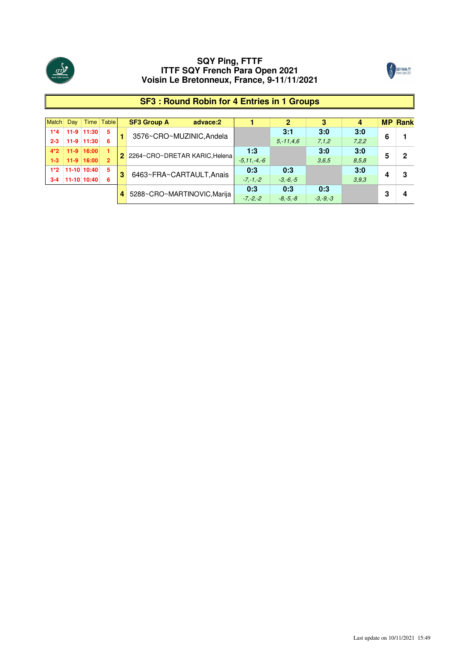



1

| <b>Match</b> | Day    |                | Time Table     |   | <b>SF3 Group A</b>              | advace:2 |               |              | 3            | 4     |   | <b>MP</b> Rank |
|--------------|--------|----------------|----------------|---|---------------------------------|----------|---------------|--------------|--------------|-------|---|----------------|
| $1*4$        |        | 11-9 11:30     | 5              |   | 3576~CRO~MUZINIC, Andela        |          |               | 3:1          | 3:0          | 3:0   |   |                |
| $2 - 3$      | $11-9$ | 11:30          | 6              |   |                                 |          |               | $5 - 11.46$  | 7,1,2        | 7,2,2 | 6 |                |
| $4*2$        |        | $11-9$   16:00 |                |   |                                 |          | 1:3           |              | 3:0          | 3:0   |   | 2              |
| $1-3$        |        | $11-9$ 16:00   | $\overline{2}$ |   | 2 2264~CRO~DRETAR KARIC, Helena |          | $-5.11,-4,-6$ |              | 3,6,5        | 8.5.8 | 5 |                |
| $1*2$        |        | 11-10 10:40    | 5              |   | 6463~FRA~CARTAULT, Anais        |          | 0:3           | 0:3          |              | 3:0   |   |                |
| $3 - 4$      |        | 11-10 10:40    | 6              | 3 |                                 |          | $-7 - 1 - 2$  | $-3. -6. -5$ |              | 3.9.3 |   | З              |
|              |        |                |                |   |                                 |          | 0:3           | 0:3          | 0:3          |       |   |                |
|              |        |                |                |   | 4 5288~CRO~MARTINOVIC, Marija   |          | $-7, -2, -2$  | $-8, -5, -8$ | $-3, -9, -3$ |       | З |                |

## **SF3 : Round Robin for 4 Entries in 1 Groups**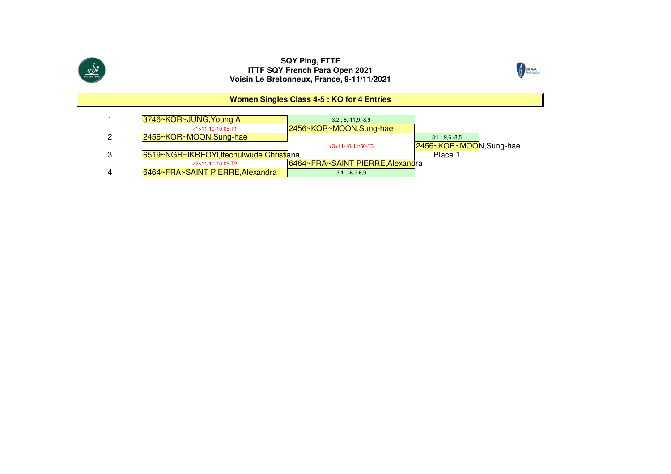



#### **Women Singles Class 4-5 : KO for 4 Entries**

| 3746~KOR~JUNG, Young A                   | $3:2:8,-11,9,-8,9$               |                        |
|------------------------------------------|----------------------------------|------------------------|
| $<1$ >11-10-10:05-T1                     | 2456~KOR~MOON, Sung-hae          |                        |
| 2456~KOR~MOON, Sung-hae                  |                                  | $3:1:9.6.-8.5$         |
|                                          | $<$ 3>11-10-11:50-T3             | 2456~KOR~MOON,Sung-hae |
| 6519~NGR~IKREOYI, Ifechulwude Christiana |                                  | Place 1                |
| $<$ 2>11-10-10:05-T2                     | 6464~FRA~SAINT PIERRE, Alexandra |                        |
| 6464~FRA~SAINT PIERRE, Alexandra         | $3:1; -6, 7, 6, 9$               |                        |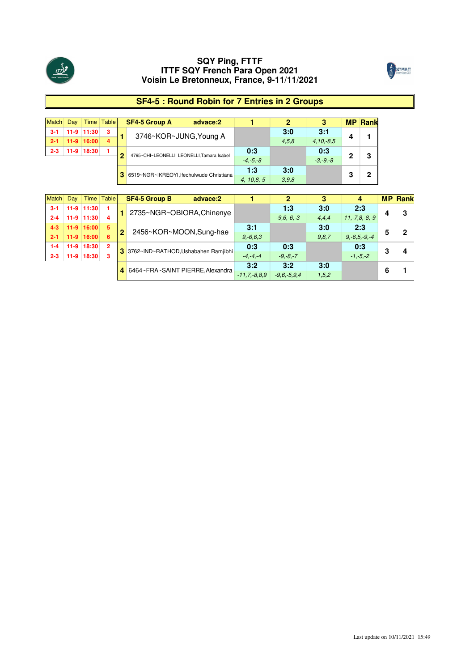



## **SF4-5 : Round Robin for 7 Entries in 2 Groups**

|         | Day |              | Time Table |    | <b>SF4-5 Group A</b><br>advace:2          |                 |       |              |   | <b>MP Rank</b> |
|---------|-----|--------------|------------|----|-------------------------------------------|-----------------|-------|--------------|---|----------------|
| $3-1$   |     | 11-9 11:30   | з          |    | 3746~KOR~JUNG, Young A                    |                 | 3:0   | 3:1          | Δ |                |
|         |     | $11-9$ 16:00 | 4          |    |                                           |                 | 4.5.8 | $4.10 - 8.5$ |   |                |
| $2 - 3$ |     | 11-9 18:30   |            |    |                                           | 0:3             |       | 0:3          | າ |                |
|         |     |              |            |    | 4765~CHI~LEONELLI LEONELLI, Tamara Isabel | $-4. -5. -8$    |       | $-3. -9. -8$ |   | 3              |
|         |     |              |            |    |                                           | 1:3             | 3:0   |              |   |                |
|         |     |              |            | 31 | 6519~NGR~IKREOYI, Ifechulwude Christiana  | $-4. -10.8 - 5$ | 3,9,8 |              | 3 |                |

| Match   | Dav    |              | Time Table     |                | <b>SF4-5 Group B</b><br>advace:2      |                 |                |       |                   |   | <b>MP Rank</b> |
|---------|--------|--------------|----------------|----------------|---------------------------------------|-----------------|----------------|-------|-------------------|---|----------------|
| $3 - 1$ |        | 11-9 11:30   |                |                | 2735~NGR~OBIORA, Chinenye             |                 | 1:3            | 3:0   | 2:3               |   | 3              |
| $2 - 4$ |        | $11-9$ 11:30 | 4              |                |                                       |                 | $-9.6 - 6 - 3$ | 4.4.4 | $11.-7.8.-8.-9$   |   |                |
| $4 - 3$ |        | $11-9$ 16:00 | 5              | $\overline{2}$ |                                       | 3:1             |                | 3:0   | 2:3               |   | כי             |
| $2 - 1$ |        | $11-9$ 16:00 | 6              |                | 2456~KOR~MOON,Sung-hae                | $9, -6, 6, 3$   |                | 9.8.7 | $9. -6.5 - 9. -4$ |   |                |
| $1 - 4$ |        | 11-9 18:30   | $\overline{2}$ |                | 3 3762~IND~RATHOD, Ushabahen Ramjibhi | 0:3             | 0:3            |       | 0:3               | 3 |                |
| $2 - 3$ | $11-9$ | 18:30        | 3              |                |                                       | $-4. -4. -4$    | $-9. -8. -7$   |       | $-1, -5, -2$      |   |                |
|         |        |              |                |                | 4 6464~FRA~SAINT PIERRE. Alexandra    | 3:2             | 3:2            | 3:0   |                   |   |                |
|         |        |              |                |                |                                       | $-11.7 - 8.8.9$ | $-9.6 - 5.9.4$ | 1,5,2 |                   |   |                |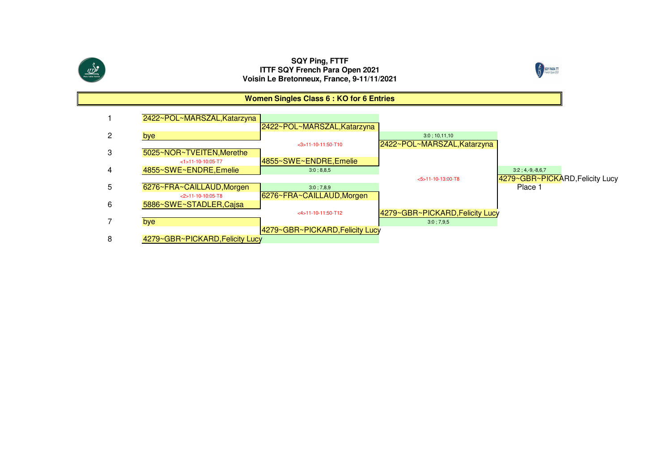

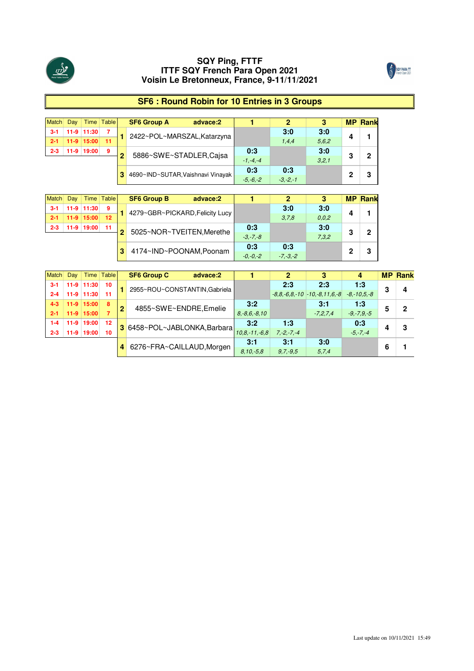

**2-3 11-9 19:00 11 2-1** 

Match **3-1** 

## **SQY Ping, FTTF ITTF SQY French Para Open 2021 Voisin Le Bretonneux, France, 9-11/11/2021**



## **SF6 : Round Robin for 10 Entries in 3 Groups**

|         | Dav |              | Time Table |   | <b>SF6 Group A</b>                  | advace:2 |              |              |       |   | <b>MP Rank</b> |
|---------|-----|--------------|------------|---|-------------------------------------|----------|--------------|--------------|-------|---|----------------|
|         |     | 11-9 11:30   |            |   | 2422~POL~MARSZAL, Katarzyna         |          |              | 3:0          | 3:0   |   |                |
|         |     | $11-9$ 15:00 | - 11       |   |                                     |          |              | 1.4.4        | 5.6.2 |   |                |
| $2 - 3$ |     | 11-9 19:00   | 9          | ≏ | 5886~SWE~STADLER,Cajsa              |          | 0:3          |              | 3:0   | 3 | 2              |
|         |     |              |            |   |                                     |          | $-1 - 4 - 4$ |              | 3.2.1 |   |                |
|         |     |              |            |   |                                     |          | 0:3          | 0:3          |       |   |                |
|         |     |              |            |   | 3 4690~IND~SUTAR, Vaishnavi Vinayak |          | $-5 - 6 - 2$ | $-3 - 2 - 1$ |       |   |                |

| Dav |               | <b>Time Table</b> |   | <b>SF6 Group B</b><br>advace:2  |              |              |       |   | <b>MP Rank</b> |
|-----|---------------|-------------------|---|---------------------------------|--------------|--------------|-------|---|----------------|
|     | 11-9 11:30    | 9                 |   | 4279~GBR~PICKARD, Felicity Lucy |              | 3:0          | 3:0   |   |                |
|     | 11-9 15:00 12 |                   |   |                                 |              | 3.7.8        | 0.0.2 |   |                |
|     | 11-9 19:00    | 11                | 2 | 5025~NOR~TVEITEN, Merethe       | 0:3          |              | 3:0   | 2 |                |
|     |               |                   |   |                                 | $-3. -7. -8$ |              | 7.3.2 |   |                |
|     |               |                   |   | 4174~IND~POONAM, Poonam         | 0:3          | 0:3          |       |   |                |
|     |               |                   |   |                                 | $-0. -0. -2$ | $-7, -3, -2$ |       |   |                |

| Match   | Day    |              | Time Table |   | <b>SF6 Group C</b><br>advace:2 |                    |              |                                                       |                 |   | <b>MP Rank</b> |
|---------|--------|--------------|------------|---|--------------------------------|--------------------|--------------|-------------------------------------------------------|-----------------|---|----------------|
| 3-1     |        | 11-9 11:30   | 10         |   | 2955~ROU~CONSTANTIN.Gabriela   |                    | 2:3          | 2:3                                                   | 1:3             | 3 |                |
| $2 - 4$ |        | 11-9 11:30   | 11         |   |                                |                    |              | $-8.8, -6.8, -10$ $-10, -8, 11.6, -8$ $-8, -10.5, -8$ |                 |   |                |
| $4 - 3$ |        | $11-9$ 15:00 | 8          | 2 | 4855~SWE~ENDRE.Emelie          | 3:2                |              | 3:1                                                   | 1:3             |   | ŋ              |
| $2 - 1$ |        | $11-9$ 15:00 |            |   |                                | $8, -8, 6, -8, 10$ |              | $-7.2.7.4$                                            | $-9, -7, 9, -5$ |   |                |
| 1-4     | $11-9$ | 19:00        | 12         |   |                                | 3:2                | 1:3          |                                                       | 0:3             |   |                |
| $2 - 3$ | $11-9$ | 19:00        | 10         |   | 3 6458~POL~JABLONKA, Barbara   | $10.8 - 11 - 6.8$  | $7.-2.-7.-4$ |                                                       | $-5, -7, -4$    |   |                |
|         |        |              |            |   |                                | 3:1                | 3:1          | 3:0                                                   |                 |   |                |
|         |        |              |            |   | 4 6276~FRA~CAILLAUD, Morgen    | $8.10 - 5.8$       | $9.7 - 9.5$  | 5.7.4                                                 |                 |   |                |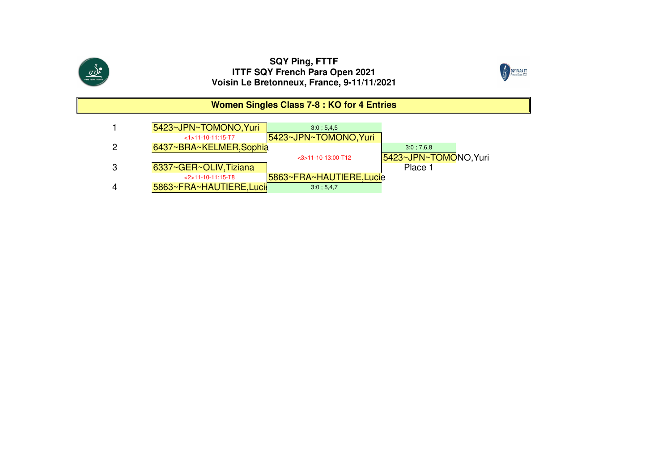



## **Women Singles Class 7-8 : KO for 4 Entries**

|   | 5423~JPN~TOMONO, Yuri    | 3:0:5.4.5               |                       |
|---|--------------------------|-------------------------|-----------------------|
|   | $<1>11-10-11:15-T7$      | 5423~JPN~TOMONO, Yuri   |                       |
|   | 6437~BRA~KELMER, Sophia  |                         | 3:0:7.6.8             |
|   |                          | $<$ 3>11-10-13:00-T12   | 5423~JPN~TOMONO, Yuri |
| З | 6337~GER~OLIV, Tiziana   |                         | Place 1               |
|   | $<2>11-10-11:15-T8$      | 5863~FRA~HAUTIERE,Lucie |                       |
|   | 5863~FRA~HAUTIERE, Lucil | 3:0; 5,4,7              |                       |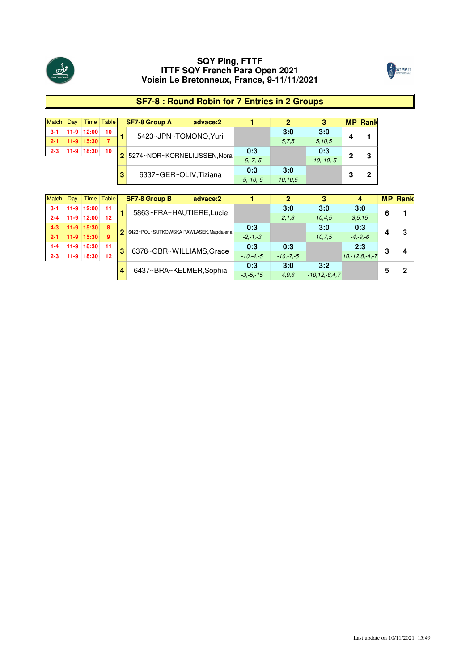



## **SF7-8 : Round Robin for 7 Entries in 2 Groups**

|         | Dav |                  | Time Table |   | <b>SF7-8 Group A</b>          | advace:2 |               |         |                |   | <b>MP Rank</b> |
|---------|-----|------------------|------------|---|-------------------------------|----------|---------------|---------|----------------|---|----------------|
| $3-1$   |     | $11-9$   12:00   | 10         |   | 5423~JPN~TOMONO, Yuri         |          |               | 3:0     | 3:0            |   |                |
|         |     | $11-9$   $15:30$ |            |   |                               |          |               | 5.7.5   | 5,10,5         |   |                |
| $2 - 3$ |     | 11-9 18:30       | 10         |   | 2 5274~NOR~KORNELIUSSEN, Nora |          | 0:3           |         | 0:3            | າ | 3              |
|         |     |                  |            |   |                               |          | $-5. -7. -5$  |         | $-10 - 10 - 5$ |   |                |
|         |     |                  |            |   |                               |          | 0:3           | 3:0     |                |   | ◠              |
|         |     |                  |            | 3 | 6337~GER~OLIV, Tiziana        |          | $-5 - 10 - 5$ | 10.10.5 |                | 3 |                |

| Match   | Dav    |                  | Time Table |    | <b>SF7-8 Group B</b><br>advace:2       |               |             |                     |                  |   | <b>MP Rank</b> |
|---------|--------|------------------|------------|----|----------------------------------------|---------------|-------------|---------------------|------------------|---|----------------|
| $3-1$   | $11-9$ | 12:00            | 11         |    | 5863~FRA~HAUTIERE.Lucie                |               | 3:0         | 3:0                 | 3:0              | 6 |                |
| $2 - 4$ | $11-9$ | 12:00            | 12         |    |                                        |               | 2,1,3       | 10.4.5              | 3.5.15           |   |                |
| $4 - 3$ |        | $11-9$ 15:30     | 8          | 2. | 6423~POL~SUTKOWSKA PAWLASEK, Magdalena | 0:3           |             | 3:0                 | 0:3              |   | з              |
| $2 - 1$ |        | $11-9$   $15:30$ | 9          |    |                                        | $-2. -1. -3$  |             | 10.7.5              | $-4. -9. -6$     |   |                |
| $1 - 4$ |        | 11-9 18:30       | 11         | 3  | 6378~GBR~WILLIAMS, Grace               | 0:3           | 0:3         |                     | 2:3              | 3 | 4              |
| $2 - 3$ | $11-9$ | 18:30            | 12         |    |                                        | $-10. -4. -5$ | $-10,-7,-5$ |                     | $10,-12.8,-4,-7$ |   |                |
|         |        |                  |            |    |                                        | 0:3           | 3:0         | 3:2                 |                  |   | כי             |
|         |        |                  |            |    | 6437~BRA~KELMER, Sophia                | $-3. -5. -15$ | 4.9.6       | $-10, 12, -8, 4, 7$ |                  |   |                |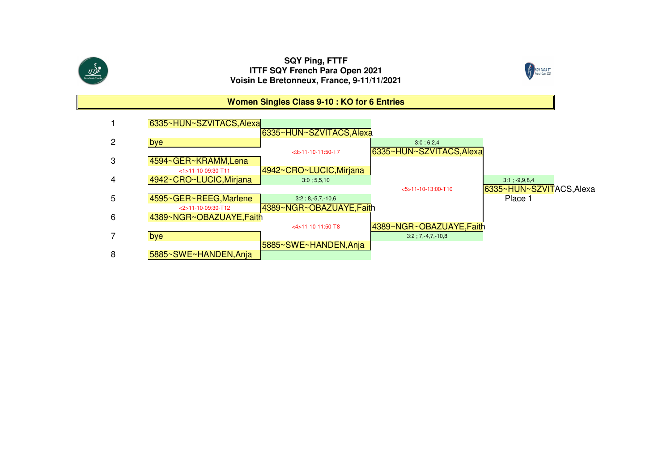



## **Women Singles Class 9-10 : KO for 6 Entries**

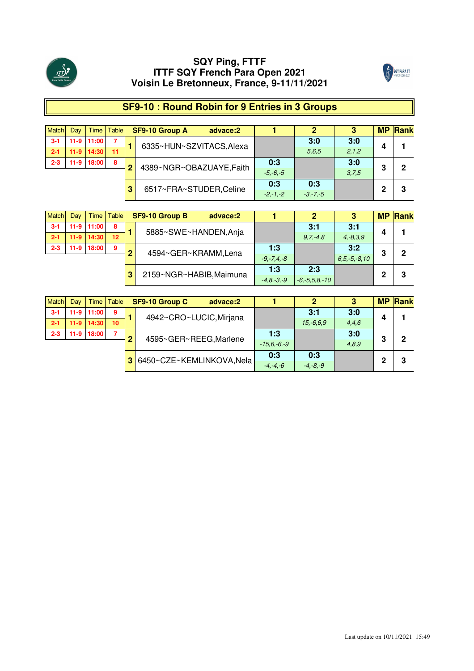



## **SF9-10 : Round Robin for 9 Entries in 3 Groups**

| <b>Match</b> | Day    | Time           | <b>Table</b> |              | SF9-10 Group A           | advace:2                |              |              |         | <b>MP</b> | Rank |
|--------------|--------|----------------|--------------|--------------|--------------------------|-------------------------|--------------|--------------|---------|-----------|------|
| $3 - 1$      |        | 11-9 11:00     |              |              | 6335~HUN~SZVITACS, Alexa |                         |              | 3:0          | 3:0     | 4         |      |
| $2 - 1$      |        | $11-9$   14:30 | 11           |              |                          |                         |              | 5.6.5        | 2, 1, 2 |           |      |
| $2 - 3$      | $11-9$ | 18:00          | 8            | $\mathbf{2}$ | 4389~NGR~OBAZUAYE, Faith |                         | 0:3          |              | 3:0     | 3         | 2    |
|              |        |                |              |              |                          |                         | $-5, -6, -5$ |              | 3,7,5   |           |      |
|              |        |                |              | 3            |                          |                         | 0:3          | 0:3          |         |           |      |
|              |        |                |              |              |                          | 6517~FRA~STUDER, Celine | $-2,-1,-2$   | $-3, -7, -5$ |         | 2         | 3    |

| <b>Match</b> | Dav    | <b>Time</b> | Table |   | SF9-10 Group B<br>advace:2 |                 | 2                   | 3                  | <b>MP</b> | Rank |
|--------------|--------|-------------|-------|---|----------------------------|-----------------|---------------------|--------------------|-----------|------|
| $3 - 1$      | $11-9$ | 11:00       | 8     |   | 5885~SWE~HANDEN, Anja      |                 | 3:1                 | 3:1                | Δ         |      |
| $2 - 1$      | $11-9$ | 14:30       | 12    |   |                            |                 | $9.7 - 4.8$         | $4, -8, 3, 9$      |           |      |
| $2 - 3$      | $11-9$ | 18:00       | 9     |   | 4594~GER~KRAMM, Lena       | 1:3             |                     | 3:2                | 3         | 2    |
|              |        |             |       |   |                            | $-9, -7, 4, -8$ |                     | $6, 5, -5, -8, 10$ |           |      |
|              |        |             |       | З | 2159~NGR~HABIB, Maimuna    | 1:3             | 2:3                 |                    | 2         | 3    |
|              |        |             |       |   |                            | $-4.8 - 3 - 9$  | $-6, -5, 5, 8, -10$ |                    |           |      |

| <b>Match</b> | Day    | Time       | <b>Table</b> |   | SF9-10 Group C<br>advace:2 |               |              | 3     | <b>MP</b> | Rank |
|--------------|--------|------------|--------------|---|----------------------------|---------------|--------------|-------|-----------|------|
| $3 - 1$      | $11-9$ | 11:00      | 9            |   | 4942~CRO~LUCIC, Mirjana    |               | 3:1          | 3:0   |           |      |
| $2 - 1$      |        | 11-9 14:30 | 10           |   |                            |               | $15.-6.6.9$  | 4,4,6 | 4         |      |
| $2 - 3$      | $11-9$ | 18:00      | 7            | ∩ | 4595~GER~REEG, Marlene     | 1:3           |              | 3:0   | 3         | 2    |
|              |        |            |              |   |                            | $-15.6,-6,-9$ |              | 4,8,9 |           |      |
|              |        |            |              | 3 | 6450~CZE~KEMLINKOVA, Nela  | 0:3           | 0:3          |       | 2         | 3    |
|              |        |            |              |   |                            | $-4, -4, -6$  | $-4, -8, -9$ |       |           |      |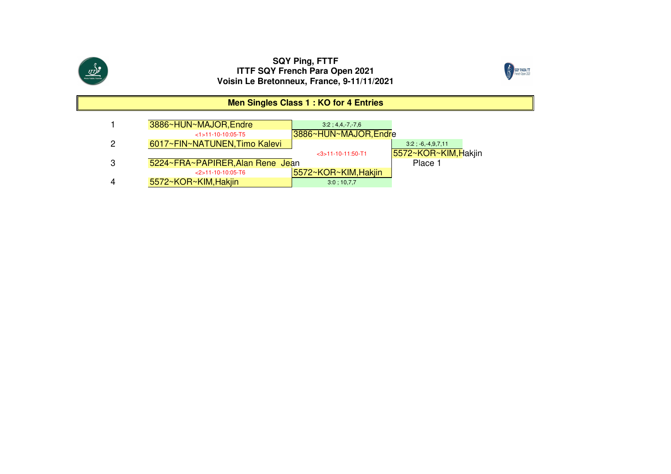



## **Men Singles Class 1 : KO for 4 Entries**

|   | 3886~HUN~MAJOR, Endre            | $3:2:4.4-7-7.6$      |                      |
|---|----------------------------------|----------------------|----------------------|
|   | $<1$ > 11-10-10:05-T5            | 3886~HUN~MAJOR,Endre |                      |
| 2 | 6017~FIN~NATUNEN, Timo Kalevi    |                      | $3:2; -6,-4,9,7,11$  |
|   |                                  | $<$ 3>11-10-11:50-T1 | 5572~KOR~KIM, Hakiin |
| 3 | 5224~FRA~PAPIRER, Alan Rene Jean |                      | Place 1              |
|   | $<$ 2>11-10-10:05-T6             | 5572~KOR~KIM, Hakjin |                      |
| 4 | 5572~KOR~KIM, Hakiin             | 3:0:10,7.7           |                      |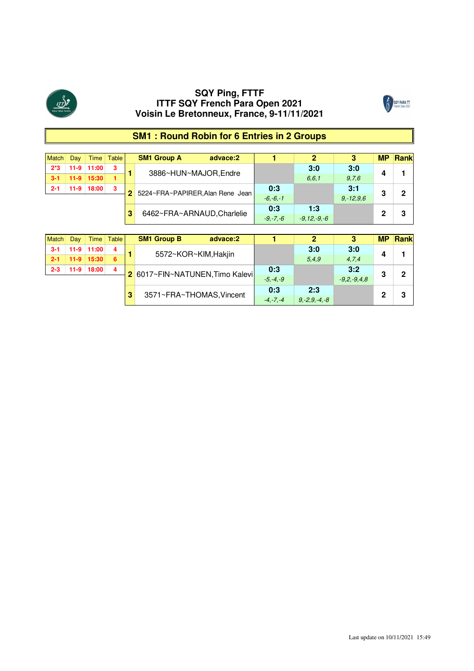



## **SM1 : Round Robin for 6 Entries in 2 Groups**

| Match   | Dav    | Time         | Table | <b>SM1 Group A</b><br>advace:2     |              |                 |               | <b>MP</b> | <b>Rank</b> |
|---------|--------|--------------|-------|------------------------------------|--------------|-----------------|---------------|-----------|-------------|
| $2*3$   |        | 11-9 11:00   | 3     | 3886~HUN~MAJOR.Endre               |              | 3:0             | 3:0           |           |             |
| $3-1$   |        | $11-9$ 15:30 |       |                                    |              | 6, 6, 1         | 9.76          |           |             |
| $2 - 1$ | $11-9$ | 18:00        | 3     |                                    | 0:3          |                 | 3:1           |           | ּ           |
|         |        |              |       | 2 5224~FRA~PAPIRER, Alan Rene Jean | $-6. -6. -1$ |                 | $9. - 12.9.6$ | 3         |             |
|         |        |              |       |                                    | 0:3          | 1:3             |               |           | ο           |
|         |        |              |       | 6462~FRA~ARNAUD, Charlelie         | $-9 - 7 - 6$ | $-9.12 - 9 - 6$ |               |           |             |

| <b>Match</b> | Dav | Time       | <b>Table</b> |   | <b>SM1 Group B</b>              | advace:2 |              |                    | 3              | МF | Rank |
|--------------|-----|------------|--------------|---|---------------------------------|----------|--------------|--------------------|----------------|----|------|
| -3-1         |     | 11-9 11:00 | 4            |   | 5572~KOR~KIM, Hakjin            |          |              | 3:0                | 3:0            | 4  |      |
| $2 - 1$      |     | 11-9 15:30 | 6            |   |                                 |          |              | 5,4.9              | 4,7,4          |    |      |
| $2 - 3$      |     | 11-9 18:00 | 4            |   | 2 6017~FIN~NATUNEN, Timo Kalevi |          | 0:3          |                    | 3:2            | 3  | ŋ    |
|              |     |            |              |   |                                 |          | $-5, -4, -9$ |                    | $-9.2, -9.4.8$ |    |      |
|              |     |            |              | 3 | 3571~FRA~THOMAS, Vincent        |          | 0:3          | 2:3                |                | n  |      |
|              |     |            |              |   |                                 |          | $-4. -7. -4$ | $9, -2, 9, -4, -8$ |                |    |      |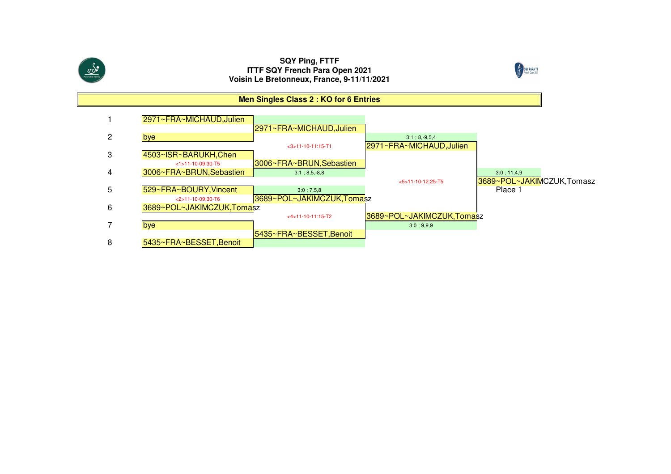



## **Men Singles Class 2 : KO for 6 Entries**

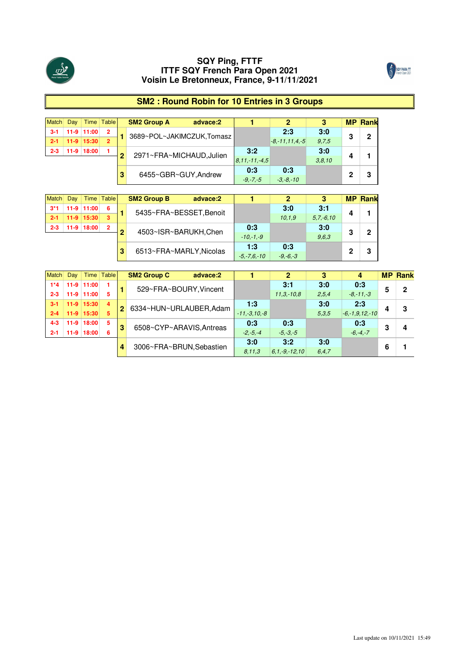



## **SM2 : Round Robin for 10 Entries in 3 Groups**

|         | Dav |                  | Time Table     |   | <b>SM2 Group A</b><br>advace:2 |                   |                      |        | <b>MP</b> | <b>Rank</b> |
|---------|-----|------------------|----------------|---|--------------------------------|-------------------|----------------------|--------|-----------|-------------|
| $3-1$   |     | 11-9 11:00       | $\overline{2}$ |   |                                |                   | 2:3                  | 3:0    |           | 2           |
| $2 - 1$ |     | $11-9$   $15:30$ | $\overline{2}$ |   | 3689~POL~JAKIMCZUK,Tomasz      |                   | $-8, -11, 11, 4, -5$ | 9.7.5  | 3         |             |
| $2 - 3$ |     | 11-9 18:00       |                | 2 |                                | 3:2               |                      | 3:0    |           |             |
|         |     |                  |                |   | 2971~FRA~MICHAUD, Julien       | $8.11 - 11 - 4.5$ |                      | 3.8.10 | Δ         |             |
|         |     |                  |                | 3 | 6455~GBR~GUY, Andrew           | 0:3               | 0:3                  |        | ŋ         | 3           |
|         |     |                  |                |   |                                | $-9 - 7 - 5$      | $-3, -8, -10$        |        |           |             |

|         | Dav |              | Time Table |   | <b>SM2 Group B</b>      | advace:2 |                 |              |                |   | <b>MP Rank</b> |
|---------|-----|--------------|------------|---|-------------------------|----------|-----------------|--------------|----------------|---|----------------|
| $3*1$   |     | 11-9 11:00   | 6          |   | 5435~FRA~BESSET, Benoit |          |                 | 3:0          | 3:1            |   |                |
|         |     | $11-9$ 15:30 | 3          |   |                         |          |                 | 10.1.9       | $5, 7, -6, 10$ |   |                |
| $2 - 3$ |     | 11-9 18:00   | 2          |   |                         |          | 0:3             |              | 3:0            |   | 2              |
|         |     |              |            | 2 | 4503~ISR~BARUKH, Chen   |          | $-10. -1. -9$   |              | 9.6.3          | 3 |                |
|         |     |              |            |   |                         |          | 1:3             | 0:3          |                | ŋ | 3              |
|         |     |              |            |   | 6513~FRA~MARLY, Nicolas |          | $-5 - 7.6 - 10$ | $-9, -6, -3$ |                |   |                |

| Match   | Day    |              | Time   Table   |   | <b>SM2 Group C</b>     | advace:2                 |                   |                   | 3       | 4                    |   | <b>MP Rank</b> |
|---------|--------|--------------|----------------|---|------------------------|--------------------------|-------------------|-------------------|---------|----------------------|---|----------------|
| $1*4$   |        | 11-9 11:00   |                |   |                        |                          |                   | 3:1               | 3:0     | 0:3                  | 5 | 2              |
| $2 - 3$ |        | $11-9$ 11:00 | 5              |   |                        | 529~FRA~BOURY, Vincent   |                   | $11.3 - 10.8$     | 2,5,4   | $-8, -11, -3$        |   |                |
|         |        | $11-9$ 15:30 | $\overline{4}$ |   |                        |                          | 1:3               |                   | 3:0     | 2:3                  |   |                |
| $2 - 4$ |        | $11-9$ 15:30 | 5              |   | 6334~HUN~URLAUBER.Adam |                          | $-11, -3, 10, -8$ |                   | 5.3.5   | $-6, -1, 9, 12, -10$ |   | 3              |
| $4 - 3$ |        | 11-9 18:00   | 5              |   |                        |                          | 0:3               | 0:3               |         | 0:3                  | 3 |                |
| $2 - 1$ | $11-9$ | 18:00        | 6              | 3 |                        | 6508~CYP~ARAVIS.Antreas  | $-2. -5. -4$      | $-5. -3. -5$      |         | $-6, -4, -7$         |   |                |
|         |        |              |                |   |                        |                          | 3:0               | 3:2               | 3:0     |                      | 6 |                |
|         |        |              |                |   |                        | 3006~FRA~BRUN, Sebastien | 8,11,3            | $6.1 - 9 - 12.10$ | 6, 4, 7 |                      |   |                |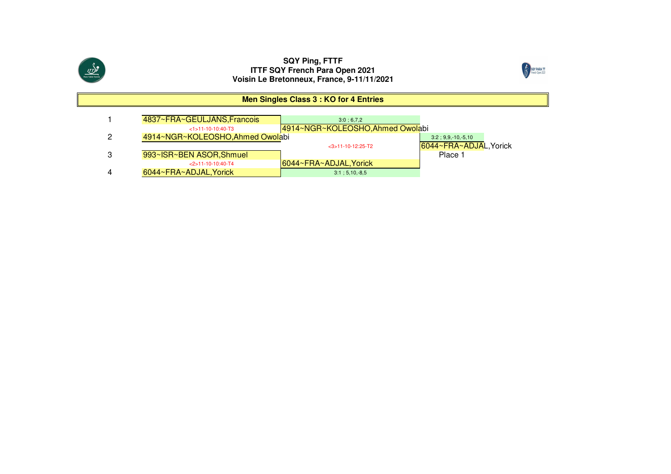



## **Men Singles Class 3 : KO for 4 Entries**

| 4837~FRA~GEULJANS, Francois      | 3:0:6.7.2                        |                        |
|----------------------------------|----------------------------------|------------------------|
| $<1$ >11-10-10:40-T3             | 4914~NGR~KOLEOSHO, Ahmed Owolabi |                        |
| 4914~NGR~KOLEOSHO, Ahmed Owolabi |                                  | $3:2; 9,9,-10,-5,10$   |
|                                  | $<$ 3>11-10-12:25-T2             | 6044~FRA~ADJAL, Yorick |
| 993~ISR~BEN ASOR, Shmuel         |                                  | Place 1                |
| $< 2$ > 11-10-10:40-T4           | 6044~FRA~ADJAL, Yorick           |                        |
| 6044~FRA~ADJAL, Yorick           | $3:1:5,10,-8.5$                  |                        |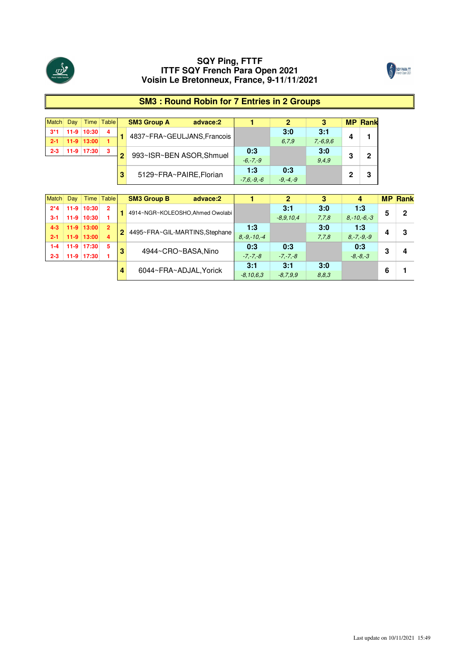



## **SM3 : Round Robin for 7 Entries in 2 Groups**

|         | Dav |              | Time Table |   | <b>SM3 Group A</b><br>advace:2 |                |              |               |   | <b>MP Rank</b> |
|---------|-----|--------------|------------|---|--------------------------------|----------------|--------------|---------------|---|----------------|
| $3*1$   |     | 11-9 10:30   | 4          |   |                                |                | 3:0          | 3:1           |   |                |
|         |     | $11-9$ 13:00 |            |   | 4837~FRA~GEULJANS, Francois    |                | 6.7.9        | $7, -6, 9, 6$ |   |                |
| $2 - 3$ |     | 11-9 17:30   | 3          | 2 | 993~ISR~BEN ASOR, Shmuel       | 0:3            |              | 3:0           | 3 | 0              |
|         |     |              |            |   |                                | $-6. -7. -9$   |              | 9.4.9         |   |                |
|         |     |              |            |   | 5129~FRA~PAIRE.Florian         | 1:3            | 0:3          |               | ŋ |                |
|         |     |              |            |   |                                | $-7.6 - 9 - 6$ | $-9, -4, -9$ |               |   | 3              |

| Match   | Dav    |              | Time Table     |                | <b>SM3 Group B</b><br>advace:2   |                  |              |       |                  |   | <b>MP Rank</b> |
|---------|--------|--------------|----------------|----------------|----------------------------------|------------------|--------------|-------|------------------|---|----------------|
| $2*4$   | $11-9$ | 10:30        | $\overline{2}$ |                | 4914~NGR~KOLEOSHO, Ahmed Owolabi |                  | 3:1          | 3:0   | 1:3              |   | 2              |
| $3 - 1$ | $11-9$ | 10:30        |                |                |                                  |                  | $-8.9.10.4$  | 7.7.8 | $8 - 10 - 6 - 3$ |   |                |
| $4 - 3$ |        | $11-9$ 13:00 | $\overline{2}$ | $\overline{2}$ |                                  | 1:3              |              | 3:0   | 1:3              |   | з              |
| $2 - 1$ |        | $11-9$ 13:00 | 4              |                | 4495~FRA~GIL-MARTINS,Stephane    | $8. -9. -10. -4$ |              | 7.7.8 | $8, -7, -9, -9$  |   |                |
| $1 - 4$ | $11-9$ | 17:30        | 5              | з              | 4944~CRO~BASA.Nino               | 0:3              | 0:3          |       | 0:3              | 3 |                |
| $2 - 3$ | $11-9$ | 17:30        |                |                |                                  | $-7. -7. -8$     | $-7 - 7 - 8$ |       | $-8. -8. -3$     |   |                |
|         |        |              |                |                |                                  | 3:1              | 3:1          | 3:0   |                  | 6 |                |
|         |        |              |                |                | 6044~FRA~ADJAL, Yorick           | $-8,10,6,3$      | $-8,7,9,9$   | 8.8.3 |                  |   |                |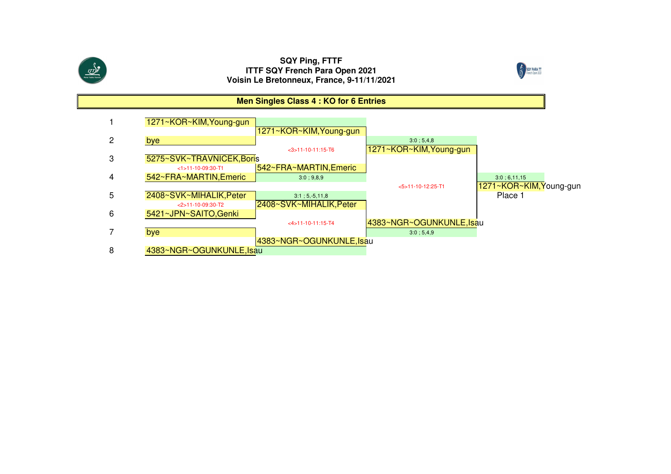



## **Men Singles Class 4 : KO for 6 Entries**

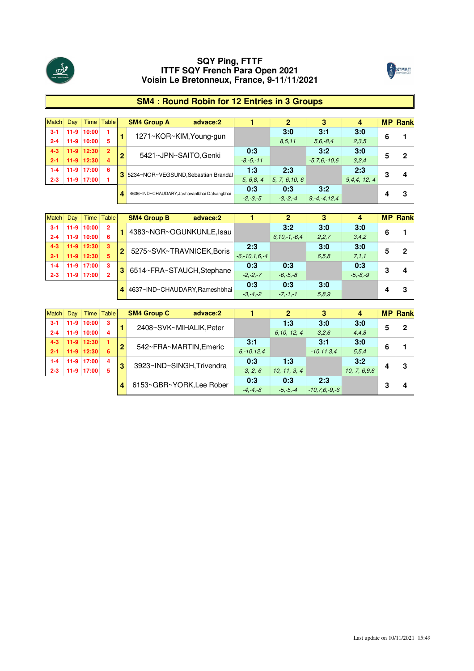



## **SM4 : Round Robin for 12 Entries in 3 Groups**

| Match   | Day    |              | Time Table     |   | <b>SM4 Group A</b> | advace:2                                    |                 |                    | 3                  | 4                 |   | <b>MP Rank</b> |
|---------|--------|--------------|----------------|---|--------------------|---------------------------------------------|-----------------|--------------------|--------------------|-------------------|---|----------------|
| $3 - 1$ | $11-9$ | 10:00        |                |   |                    | 1271~KOR~KIM, Young-gun                     |                 | 3:0                | 3:1                | 3:0               | 6 |                |
| $2 - 4$ | $11-9$ | 10:00        | 5              |   |                    |                                             |                 | 8,5,11             | $5.6 - 8.4$        | 2,3,5             |   |                |
| $4 - 3$ |        | $11-9$ 12:30 | $\overline{2}$ |   |                    | 5421~JPN~SAITO, Genki                       | 0:3             |                    | 3:2                | 3:0               | 5 | 2              |
| $2 - 1$ | $11-9$ | 12:30        | 4              | 2 |                    |                                             | $-8. -5. -11$   |                    | $-5.7.6 - 10.6$    | 3,2,4             |   |                |
| 1-4     | $11-9$ | 17:00        | 6              |   |                    |                                             | 1:3             | 2:3                |                    | 2:3               |   |                |
| $2 - 3$ | $11-9$ | 17:00        |                |   |                    | 3 5234~NOR~VEGSUND, Sebastian Brandal       | $-5, -6, 8, -4$ | $5 - 7 - 6.10 - 6$ |                    | $-9.4.4 - 12 - 4$ | 3 | 4              |
|         |        |              |                |   |                    | 4636~IND~CHAUDARY.Jashavantbhai Dalsangbhai | 0:3             | 0:3                | 3:2                |                   |   |                |
|         |        |              |                |   |                    |                                             | $-2, -3, -5$    | $-3. -2. -4$       | $9, -4, -4, 12, 4$ |                   |   | З              |

| <b>Match</b> | Dav    |              | Time Table     |              | <b>SM4 Group B</b><br>advace:2 |                   |                  |       |              |   | <b>MP Rank</b> |
|--------------|--------|--------------|----------------|--------------|--------------------------------|-------------------|------------------|-------|--------------|---|----------------|
| $3-1$        | $11-9$ | 10:00        | $\overline{2}$ |              |                                |                   | 3:2              | 3:0   | 3:0          | 6 |                |
| $2 - 4$      | 11-9   | 10:00        | 6              |              | 4383~NGR~OGUNKUNLE, Isau       |                   | $6.10 - 1 - 6.4$ | 2.2.7 | 3,4,2        |   |                |
|              |        | $11-9$ 12:30 | -3             |              |                                | 2:3               |                  | 3:0   | 3:0          |   | ŋ              |
| $2 - 1$      | $11-9$ | 12:30        | 5              | $\mathbf{2}$ | 5275~SVK~TRAVNICEK.Boris       | $-6. -10.1.6 - 4$ |                  | 6.5.8 | 7.1.1        |   |                |
|              | 11-9   | 17:00        | -3             |              |                                | 0:3               | 0:3              |       | 0:3          | n |                |
| $2 - 3$      | $11-9$ | 17:00        | $\overline{2}$ |              | 3 6514~FRA~STAUCH, Stephane    | $-2. -2. -7$      | $-6. -5. -8$     |       | $-5, -8, -9$ |   |                |
|              |        |              |                |              |                                | 0:3               | 0:3              | 3:0   |              |   |                |
|              |        |              |                |              | 4 4637~IND~CHAUDARY.Rameshbhai | $-3. -4. -2$      | $-7, -1, -1$     | 5,8,9 |              |   |                |

| <b>Match</b> | Dav |                  | Time Table |   | <b>SM4 Group C</b><br>advace:2 |               |                   |                    |                |   | <b>MP Rank</b> |
|--------------|-----|------------------|------------|---|--------------------------------|---------------|-------------------|--------------------|----------------|---|----------------|
| $3-1$        |     | $11-9$ 10:00     | -3         |   |                                |               | 1:3               | 3:0                | 3:0            |   | פ              |
| $2 - 4$      |     | 11-9 10:00       | 4          |   | 2408~SVK~MIHALIK, Peter        |               | $-6.10 - 12 - 4$  | 3.2.6              | 4,4,8          |   |                |
| $4 - 3$      |     | $11-9$   $12:30$ | - 1        |   |                                | 3:1           |                   | 3:1                | 3:0            |   |                |
| $2 - 1$      |     | $11-9$ 12:30     | 6          | 2 | 542~FRA~MARTIN.Emeric          | $6. -10.12.4$ |                   | $-10.11.3.4$       | 5.5.4          | 6 |                |
| 1-4          |     | $11-9$ 17:00     | 4          |   |                                | 0:3           | 1:3               |                    | 3:2            |   |                |
| $2 - 3$      |     | 11-9 17:00       | 5          | 3 | 3923~IND~SINGH, Trivendra      | $-3. -2. -6$  | $10 - 11 - 3 - 4$ |                    | $10,-7,-6.9.6$ |   | З              |
|              |     |                  |            |   |                                | 0:3           | 0:3               | 2:3                |                | n |                |
|              |     |                  |            |   | 6153~GBR~YORK, Lee Rober       | $-4. -4. -8$  | $-5, -5, -4$      | $-10.7.6$ . -9. -6 |                |   |                |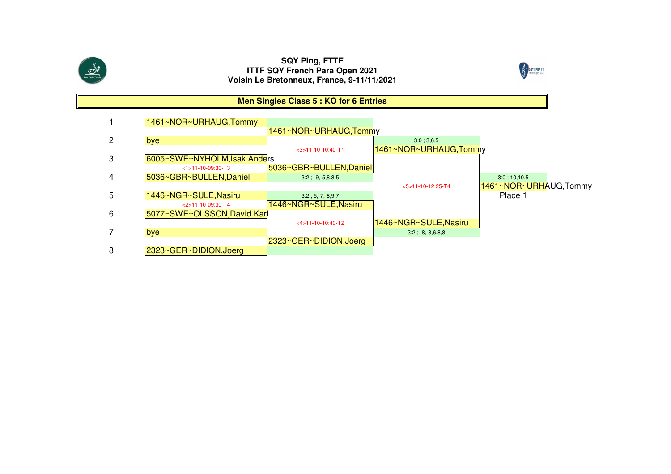



## **Men Singles Class 5 : KO for 6 Entries**

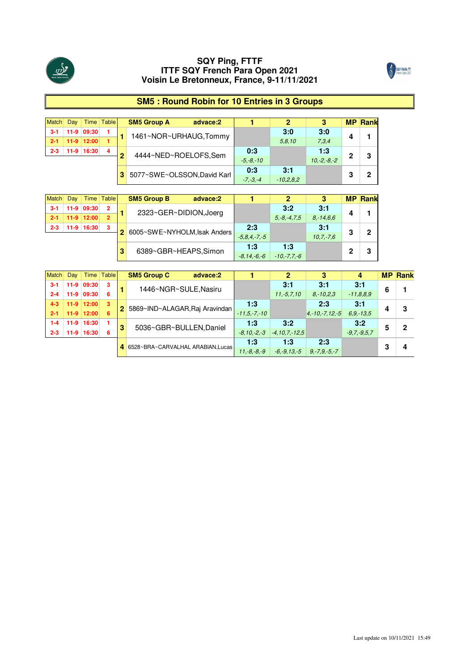



## **SM5 : Round Robin for 10 Entries in 3 Groups**

|         | Dav    |            | Time Table |   | <b>SM5 Group A</b><br>advace:2 |               |             |               | <b>MP</b> | <b>Rank</b> |
|---------|--------|------------|------------|---|--------------------------------|---------------|-------------|---------------|-----------|-------------|
| $3-1$   | $11-9$ | 09:30      |            |   | 1461~NOR~URHAUG, Tommy         |               | 3:0         | 3:0           |           |             |
|         |        | 11-9 12:00 |            |   |                                |               | 5.8.10      | 7.3.4         | 4         |             |
| $2 - 3$ |        | 11-9 16:30 | 4          | ≏ | 4444~NED~ROELOFS,Sem           | 0:3           |             | 1:3           | 2         | 3           |
|         |        |            |            |   |                                | $-5. -8. -10$ |             | $10.-2.-8.-2$ |           |             |
|         |        |            |            |   | 3 5077~SWE~OLSSON, David Karl  | 0:3           | 3:1         |               | o         | c           |
|         |        |            |            |   |                                | $-7, -3, -4$  | $-10.2.8.2$ |               | v         |             |

| <b>Match</b> | Dav |              | Time Table     | <b>SM5 Group B</b><br>advace:2 |                  |                 |              |   | <b>MP Rank</b> |
|--------------|-----|--------------|----------------|--------------------------------|------------------|-----------------|--------------|---|----------------|
| $3-1$        |     | 11-9 09:30   | 2              | 2323~GER~DIDION, Joerg         |                  | 3:2             | 3:1          |   |                |
| $2 - 1$      |     | $11-9$ 12:00 | $\overline{2}$ |                                |                  | $5. -8. -4.7.5$ | $8. -14.6.6$ |   |                |
| $2 - 3$      |     | 11-9 16:30   | 3              |                                | 2:3              |                 | 3:1          |   | 2              |
|              |     |              |                | 6005~SWE~NYHOLM, Isak Anders   | $-5.8.4 - 7. -5$ |                 | $10.7 - 7.6$ | 3 |                |
|              |     |              |                |                                | 1:3              | 1:3             |              |   |                |
|              |     |              |                | 6389~GBR~HEAPS, Simon          | $-8, 14, -6, -6$ | $-10,-7,7,-6$   |              |   | 3              |

| <b>Match</b> | Day  |              | Time Table |   | <b>SM5 Group C</b>                 | advace:2 |                  |                               |                      |               |   | <b>MP Rank</b> |
|--------------|------|--------------|------------|---|------------------------------------|----------|------------------|-------------------------------|----------------------|---------------|---|----------------|
| $3-1$        |      | 11-9 09:30   | -3         |   | 1446~NGR~SULE, Nasiru              |          |                  | 3:1                           | 3:1                  | 3:1           | 6 |                |
| $2 - 4$      | 11-9 | 09:30        | 6          |   |                                    |          |                  | $11. -5.7.10$                 | $8 - 10.23$          | $-11,8,8,9$   |   |                |
| $4 - 3$      |      | $11-9$ 12:00 | -3         |   | 2 5869~IND~ALAGAR, Raj Aravindan   |          | 1:3              |                               | 2:3                  | 3:1           |   | З              |
| $2 - 1$      |      | $11-9$ 12:00 | 6          |   |                                    |          | $-11.5 - 7 - 10$ |                               | $4, -10, -7, 12, -5$ | $6.9 - 13.5$  |   |                |
| 1-4          |      | 11-9 16:30   |            |   |                                    |          | 1:3              | 3:2                           |                      | 3:2           |   | o              |
| $2 - 3$      |      | 11-9 16:30   | 6          | з | 5036~GBR~BULLEN, Daniel            |          |                  | $-8.10,-2,-3$ $-4.10,7,-12.5$ |                      | $-9.7 - 9.57$ | 5 |                |
|              |      |              |            |   | 4 6528~BRA~CARVALHAL ARABIAN.Lucas |          | 1:3              | 1:3                           | 2:3                  |               |   |                |
|              |      |              |            |   |                                    |          | $11.-8.-8.-9$    | $-6, -9, 13, -5$              | $9, -7, 9, -5, -7$   |               |   |                |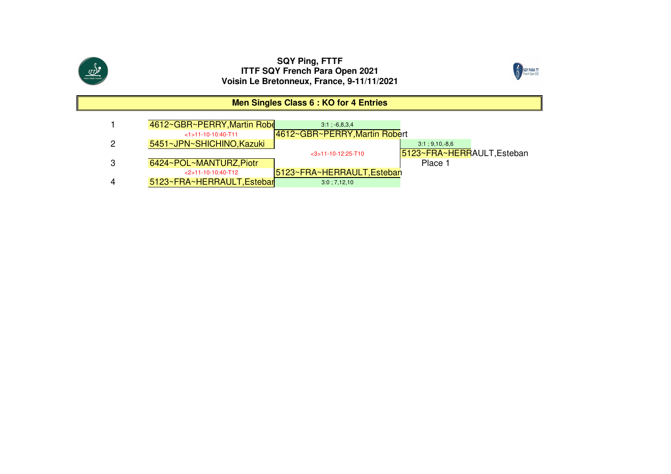



## **Men Singles Class 6 : KO for 4 Entries**

| 4612~GBR~PERRY, Martin Robe | 3:1:6.8.3.4                   |                            |
|-----------------------------|-------------------------------|----------------------------|
| $<1$ >11-10-10:40-T11       | 4612~GBR~PERRY, Martin Robert |                            |
| 5451~JPN~SHICHINO, Kazuki   |                               | $3:1; 9,10,-8,6$           |
|                             | $<$ 3>11-10-12:25-T10         | 5123~FRA~HERRAULT, Esteban |
| 6424~POL~MANTURZ, Piotr     |                               | Place 1                    |
| $<$ 2>11-10-10:40-T12       | 5123~FRA~HERRAULT, Esteban    |                            |
| 5123~FRA~HERRAULT, Estebar  | 3:0; 7,12,10                  |                            |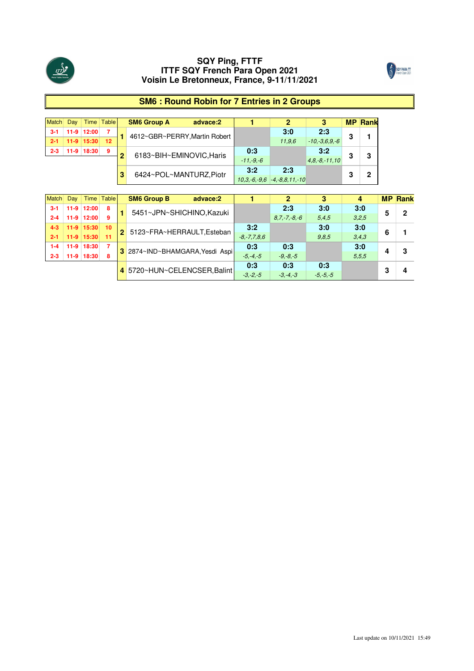



## **SM6 : Round Robin for 7 Entries in 2 Groups**

|         | Dav |              | Time Table       |   | <b>SM6 Group A</b><br>advace:2 |             |                                         |                   |   | <b>MP Rank</b> |
|---------|-----|--------------|------------------|---|--------------------------------|-------------|-----------------------------------------|-------------------|---|----------------|
| $3-1$   |     | 11-9 12:00   |                  |   |                                |             | 3:0                                     | 2:3               |   |                |
|         |     | $11-9$ 15:30 | 12 <sup>12</sup> |   | 4612~GBR~PERRY, Martin Robert  |             | 11.9.6                                  | $-10,-3.6.9,-6$   | 3 |                |
| $2 - 3$ |     | 11-9 18:30   | 9                | ≏ |                                | 0:3         |                                         | 3:2               |   |                |
|         |     |              |                  |   | 6183~BIH~EMINOVIC, Haris       | $-11.-9.-6$ |                                         | $4.8 - 8 - 11.10$ | 3 | 3              |
|         |     |              |                  |   | 6424~POL~MANTURZ.Piotr         | 3:2         | 2:3                                     |                   | 3 | ŋ              |
|         |     |              |                  |   |                                |             | $10, 3, -6, -9, 6$ $-4, -8, 8, 11, -10$ |                   |   |                |

| Match   | Dav    |                  | Time Table |              | <b>SM6 Group B</b><br>advace:2  |                   |                   |              |       |   | <b>MP Rank</b> |
|---------|--------|------------------|------------|--------------|---------------------------------|-------------------|-------------------|--------------|-------|---|----------------|
| $3-1$   | $11-9$ | 12:00            | 8          |              | 5451~JPN~SHICHINO, Kazuki       |                   | 2:3               | 3:0          | 3:0   |   | 2              |
| $2 - 4$ | $11-9$ | 12:00            | 9          |              |                                 |                   | $8.7 - 7 - 8 - 6$ | 5.4.5        | 3.2.5 |   |                |
| $4 - 3$ |        | $11-9$   $15:30$ | 10         | $\mathbf{P}$ |                                 | 3:2               |                   | 3:0          | 3:0   | 6 |                |
| $2 - 1$ |        | $11-9$ 15:30     | 11         |              | 5123~FRA~HERRAULT,Esteban       | $-8, -7, 7, 8, 6$ |                   | 9.8.5        | 3,4,3 |   |                |
| $1 - 4$ |        | 11-9 18:30       | 7          |              |                                 | 0:3               | 0:3               |              | 3:0   |   | з              |
| $2 - 3$ | $11-9$ | 18:30            | 8          |              | 3 2874~IND~BHAMGARA, Yesdi Aspi | $-5. -4. -5$      | $-9, -8, -5$      |              | 5.5.5 |   |                |
|         |        |                  |            |              |                                 | 0:3               | 0:3               | 0:3          |       | ົ |                |
|         |        |                  |            |              | 4 5720~HUN~CELENCSER.Balint     | $-3. -2. -5$      | $-3. -4. -3$      | $-5, -5, -5$ |       |   |                |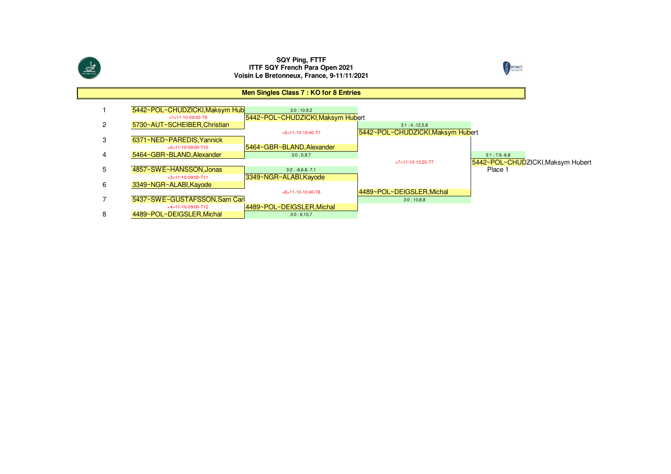



#### 15442~POL~CHUDZICKI, Maksym Hub<br>
3:0 ; 10,9,2 <1>11-10-09:00-T9 5442~POL~CHUDZICKI,Maksym Hubert 25730~AUT~SCHEIBER,Christian 3:1 ; 4,-12,5,8 <5>11-10-10:40-T75442~POL~CHUDZICKI, Maksym Hubert 3 6371~NED~PAREDIS,Yannick <2>11-10-09:00-T105464~GBR~BLAND, Alexander 45464~GBR~BLAND, Alexander 3:0 ; 5,9,7 <7>11-10-12:25-T75442~POL~CHUDZICKI,Maksym Hubert<br>Place 1 5**4857~SWE~HANSSON,Jonas** 3:2 ; -6,6,8,-7,1 <3>11-10-09:00-T11 3349~NGR~ALABI,Kayode6 3349~NGR~ALABI,Kayode <6>11-10-10:40-T84489~POL~DEIGSLER, Michal 75437~SWE~GUSTAFSSON,Sam Carl <4>11-10-09:00-T124489~POL~DEIGSLER, Michal 84489~POL~DEIGSLER, Michal **Men Singles Class 7 : KO for 8 Entries**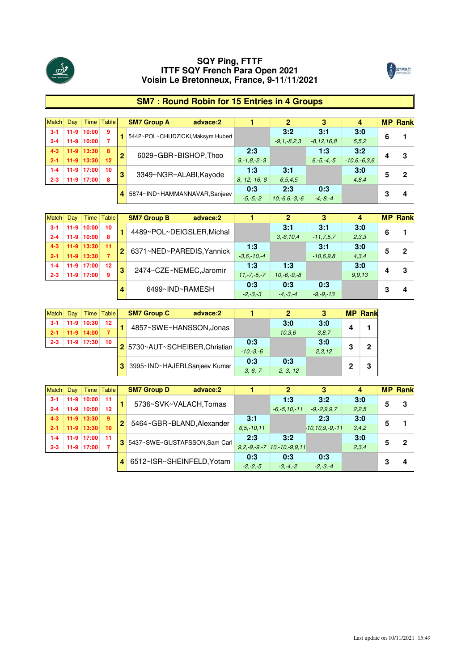



## **SM7 : Round Robin for 15 Entries in 4 Groups**

| Match   | Day    |                | Time Table |   | <b>SM7 Group A</b>                | advace:2 |                    |                 | 3               |                |   | <b>MP Rank</b> |
|---------|--------|----------------|------------|---|-----------------------------------|----------|--------------------|-----------------|-----------------|----------------|---|----------------|
| $3-1$   | $11-9$ | 10:00          | 9          |   | 5442~POL~CHUDZICKI, Maksym Hubert |          |                    | 3:2             | 3:1             | 3:0            | 6 |                |
| $2 - 4$ | $11-9$ | 10:00          |            |   |                                   |          |                    | $-9.1 - 8.2.3$  | $-8,12,16,8$    | 5.5.2          |   |                |
| $4 - 3$ |        | $11-9$   13:30 | 8          |   | 6029~GBR~BISHOP, Theo             |          | 2:3                |                 | 1:3             | 3:2            |   | 3              |
| $2 - 1$ | $11-9$ | 13:30          | 12         | 2 |                                   |          | $9, -1, 8, -2, -3$ |                 | $6, -5, -4, -5$ | $-10.6,-6.3.6$ |   |                |
| $1 - 4$ | $11-9$ | 17:00          | 10         | 3 | 3349~NGR~ALABI,Kayode             |          | 1:3                | 3:1             |                 | 3:0            | 5 | כי             |
| $2 - 3$ | $11-9$ | 17:00          | 8          |   |                                   |          | $8 - 12 - 16 - 8$  | $-6.5.4.5$      |                 | 4,8,4          |   |                |
|         |        |                |            |   | 4 5874~IND~HAMMANNAVAR, Sanjeev   |          | 0:3                | 2:3             | 0:3             |                | 3 |                |
|         |        |                |            |   |                                   |          | $-5, -5, -2$       | $10,-6,6,-3,-6$ | $-4. -8. -4$    |                |   | 4              |

| <b>Match</b> | Dav    |                  | Time Table |                | <b>SM7 Group B</b><br>advace:2 |                 |                |                |          |   | <b>MP Rank</b> |
|--------------|--------|------------------|------------|----------------|--------------------------------|-----------------|----------------|----------------|----------|---|----------------|
| $3 - 1$      | $11-9$ | 10:00            | 10         |                |                                |                 | 3:1            | 3:1            | 3:0      | 6 |                |
| $2 - 4$      | $11-9$ | 10:00            | 8          |                | 4489~POL~DEIGSLER, Michal      |                 | $3, -6, 10, 4$ | $-11, 7, 5, 7$ | 2,3,3    |   |                |
| $4 - 3$      |        | $11-9$   $13:30$ | $-11$      | $\overline{2}$ | 6371~NED~PAREDIS.Yannick       | 1:3             |                | 3:1            | 3:0      |   | פ              |
| $2 - 1$      |        | $11-9$ 13:30     | -7         |                |                                | $-3.6 - 10 - 4$ |                | $-10.6.9.8$    | 4.3.4    |   |                |
| $1 - 4$      |        | $11-9$ 17:00     | 12         | 3              | 2474~CZE~NEMEC.Jaromir         | 1.3             | 1:3            |                | 3:0      |   | З              |
| $2 - 3$      | $11-9$ | 17:00            | 9          |                |                                | $11.-7.-5.-7$   | $10.-6.-9.-8$  |                | 9, 9, 13 |   |                |
|              |        |                  |            |                |                                | 0:3             | 0:3            | 0:3            |          | n |                |
|              |        |                  |            |                | 6499~IND~RAMESH                | $-2, -3, -3$    | $-4, -3, -4$   | $-9, -9, -13$  |          |   |                |

|         | Dav |                | Time   Table | <b>SM7 Group C</b><br>advace:2 |              |               |        |   | <b>MP Rank</b> |
|---------|-----|----------------|--------------|--------------------------------|--------------|---------------|--------|---|----------------|
|         |     | $11-9$ 10:30   | $12 \,$      |                                |              | 3:0           | 3:0    |   |                |
|         |     | $11-9$ $14:00$ |              | 4857~SWE~HANSSON, Jonas        |              | 10.3.6        | 3.8.7  |   |                |
| $2 - 3$ |     | 11-9 17:30     | 10           |                                | 0:3          |               | 3:0    |   |                |
|         |     |                |              | 2 5730~AUT~SCHEIBER.Christian  | $-10,-3,-6$  |               | 2.3.12 | 3 | 2              |
|         |     |                |              |                                | 0:3          | 0:3           |        |   | 3              |
|         |     |                |              | 3995~IND~HAJERI, Sanjeev Kumar | $-3. -8. -7$ | $-2. -3. -12$ |        |   |                |

| <b>Match</b> | Day    |                | Time Table |   | <b>SM7 Group D</b>             | advace:2 |               |                                      | 3                     |       |   | <b>MP Rank</b> |
|--------------|--------|----------------|------------|---|--------------------------------|----------|---------------|--------------------------------------|-----------------------|-------|---|----------------|
| $3 - 1$      |        | 11-9 10:00     | 11         |   |                                |          |               | 1:3                                  | 3:2                   | 3:0   | 5 | 3              |
| $2 - 4$      | $11-9$ | 10:00          | 12         |   | 5736~SVK~VALACH,Tomas          |          |               | $-6, -5, 10, -11$                    | $-9, -2, 9, 9, 7$     | 2,2,5 |   |                |
| $4 - 3$      |        | $11-9$   13:30 | -9         | 2 | 5464~GBR~BLAND.Alexander       |          | 3:1           |                                      | 2:3                   | 3:0   | 5 |                |
| $2 - 1$      |        | $11-9$ 13:30   | 10         |   |                                |          | $6.5 - 10.11$ |                                      | $-10, 10, 9, -9, -11$ | 3,4,2 |   |                |
| $1 - 4$      |        | 11-9 17:00     | $-11$      |   | 3 5437~SWE~GUSTAFSSON.Sam Carl |          | 2:3           | 3:2                                  |                       | 3:0   |   | 2              |
| $2 - 3$      |        | 11-9 17:00     |            |   |                                |          |               | $9.2. -9. -9. -7$ $10. -10. -9.9.11$ |                       | 2,3,4 |   |                |
|              |        |                |            |   | 6512~ISR~SHEINFELD, Yotam      |          | 0:3           | 0:3                                  | 0:3                   |       | n |                |
|              |        |                |            |   |                                |          | $-2, -2, -5$  | $-3. -4. -2$                         | $-2, -3, -4$          |       |   |                |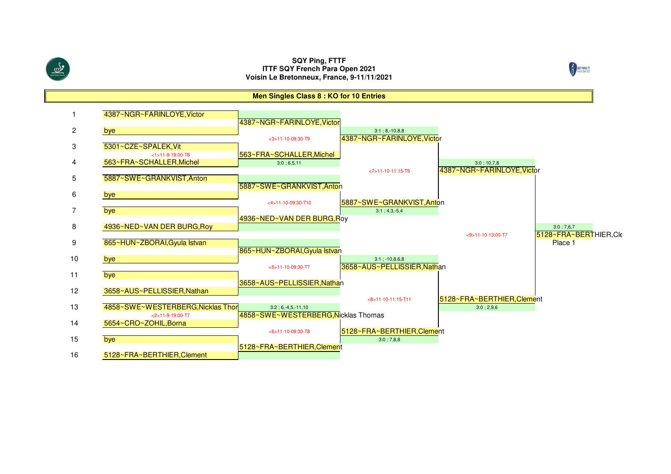SOY PARA TT

**Men Singles Class 8 : KO for 10 Entries**

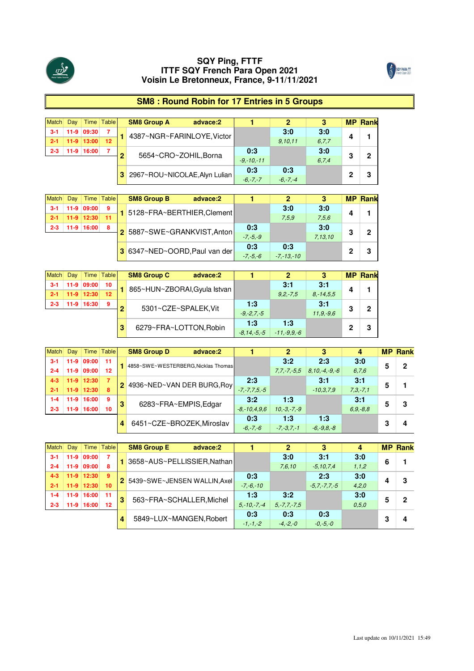



## **SM8 : Round Robin for 17 Entries in 5 Groups**

|         | Dav |              | Time Table | <b>SM8 Group A</b><br>advace:2  |                  |         |       | <b>MP</b> | <b>Rank</b> |
|---------|-----|--------------|------------|---------------------------------|------------------|---------|-------|-----------|-------------|
|         |     | 11-9 09:30   |            | 4387~NGR~FARINLOYE.Victor       |                  | 3:0     | 3:0   | Δ         |             |
|         |     | $11-9$ 13:00 | $12 \,$    |                                 |                  | 9,10,11 | 6.7.7 |           |             |
| $2 - 3$ |     | 11-9 16:00   |            |                                 | 0:3              |         | 3:0   |           | o           |
|         |     |              |            | 5654~CRO~ZOHIL, Borna           | $-9. - 10. - 11$ |         | 6.7.4 | 3         |             |
|         |     |              |            |                                 | 0:3              | 0:3     |       | n         | o           |
|         |     |              |            | 3 2967~ROU~NICOLAE, Alyn Lulian | $-6. -7. -7$     |         |       |           |             |

| Match   | Dav |                  | Time Table | <b>SM8 Group B</b><br>advace:2 |              |                |         |   | <b>MP Rank</b> |
|---------|-----|------------------|------------|--------------------------------|--------------|----------------|---------|---|----------------|
| $3-1$   |     | 11-9 09:00       | 9          | 5128~FRA~BERTHIER, Clement     |              | 3:0            | 3:0     |   |                |
|         |     | $11-9$   $12:30$ |            |                                |              | 7.5.9          | 7.5.6   |   |                |
| $2 - 3$ |     | 11-9 16:00       | 8          |                                | 0:3          |                | 3:0     | 3 | ŋ              |
|         |     |                  |            | 2 5887~SWE~GRANKVIST, Anton    | $-7. -5. -9$ |                | 7,13,10 |   |                |
|         |     |                  |            |                                | 0:3          | 0:3            |         |   |                |
|         |     |                  |            | 3 6347~NED~OORD, Paul van der  | $-7. -5. -6$ | $-7, -13, -10$ |         |   |                |

|         | Dav    |                | Time Table        |   | <b>SM8 Group C</b><br>advace:2 |                |             |              |   | <b>MP Rank</b> |
|---------|--------|----------------|-------------------|---|--------------------------------|----------------|-------------|--------------|---|----------------|
|         | $11-9$ | 09:00          | 10                |   |                                |                | 3:1         | 3:1          | Δ |                |
|         |        | $11-9$   12:30 | $12 \overline{ }$ |   | 865~HUN~ZBORAI, Gyula Istvan   |                | $9.2 - 7.5$ | $8. -14.5.5$ |   |                |
| $2 - 3$ | $11-9$ | 16:30          | 9                 | ∩ |                                | 1:3            |             | 3:1          |   | 0              |
|         |        |                |                   |   | 5301~CZE~SPALEK, Vit           | $-9. -2.7 - 5$ |             | $11.9 - 9.6$ | 3 |                |
|         |        |                |                   |   |                                | 1:3            | 1:3         |              |   | 3              |
|         |        |                |                   |   | 6279~FRA~LOTTON, Robin         | $-8.14,-5,-5$  | -11.-9.9.-6 |              |   |                |

| <b>Match</b> | Day    |                  | Time Table |   | <b>SM8 Group D</b>                 | advace:2 |                    | n             |                                    |               |   | <b>MP Rank</b> |
|--------------|--------|------------------|------------|---|------------------------------------|----------|--------------------|---------------|------------------------------------|---------------|---|----------------|
| $3-1$        |        | 11-9 09:00       | $-11$      |   | 4858~SWE~WESTERBERG.Nicklas Thomas |          |                    | 3:2           | 2:3                                | 3:0           |   | 0              |
| $2 - 4$      | $11-9$ | 09:00            | 12         |   |                                    |          |                    |               | $7.7, -7, -5.5$ $8.10, -4, -9, -6$ | 6,7,6         |   |                |
| $4 - 3$      |        | $11-9$   $12:30$ | - 77       |   |                                    |          | 2:3                |               | 3:1                                | 3:1           |   |                |
| $2 - 1$      |        | $11-9$ 12:30     | -8         |   | 2 4936~NED~VAN DER BURG, Roy       |          | $-7. -7.7.5 -5$    |               | $-10.3.7.9$                        | $7.3 - 7.1$   |   |                |
| 1-4          |        | 11-9 16:00       | -9         | 3 | 6283~FRA~EMPIS, Edgar              |          | 3:2                | 1:3           |                                    | 3:1           |   | 3              |
| $2 - 3$      | 11-9   | 16:00            | 10         |   |                                    |          | $-8, -10, 4, 9, 6$ | $10,-3,-7,-9$ |                                    | $6, 9, -8, 8$ |   |                |
|              |        |                  |            |   | 6451~CZE~BROZEK.Miroslav           |          | 0:3                | 1:3           | 1:3                                |               | ≏ |                |
|              |        |                  |            |   |                                    |          | $-6, -7, -6$       | $-7. -3.7 -1$ | $-6, -9, 8, -8$                    |               |   |                |

| <b>Match</b> | Day    |              | Time Table |   | <b>SM8 Group E</b>            | advace:2 |                  | n                 | 3                |         |   | <b>MP</b> Rank |
|--------------|--------|--------------|------------|---|-------------------------------|----------|------------------|-------------------|------------------|---------|---|----------------|
| $3 - 1$      |        | 11-9 09:00   | 7          |   | 3658~AUS~PELLISSIER.NathanI   |          |                  | 3:0               | 3:1              | 3:0     | 6 |                |
| $2 - 4$      |        | 11-9 09:00   | 8          |   |                               |          |                  | 7.6.10            | $-5, 10, 7, 4$   | 1, 1, 2 |   |                |
| $4 - 3$      |        | $11-9$ 12:30 | -9         |   | 2 5439~SWE~JENSEN WALLIN.Axel |          | 0:3              |                   | 2:3              | 3:0     |   | 3              |
| $2 - 1$      |        | $11-9$ 12:30 | 10         |   |                               |          | $-7, -6, -10$    |                   | $-5.7 - 7.7 - 5$ | 4,2,0   |   |                |
| $1 - 4$      |        | 11-9 16:00   | 11         | 3 | 563~FRA~SCHALLER.Michel       |          | 1:3              | 3:2               |                  | 3:0     |   | າ              |
| $2 - 3$      | $11-9$ | 16:00        | 12         |   |                               |          | $5 - 10 - 7 - 4$ | $5, -7, 7, -7, 5$ |                  | 0.5.0   |   |                |
|              |        |              |            |   | 5849~LUX~MANGEN.Robert        |          | 0:3              | 0:3               | 0:3              |         |   |                |
|              |        |              |            |   |                               |          | $-1,-1,-2$       | $-4. -2. -0$      | $-0. -5. -0$     |         |   |                |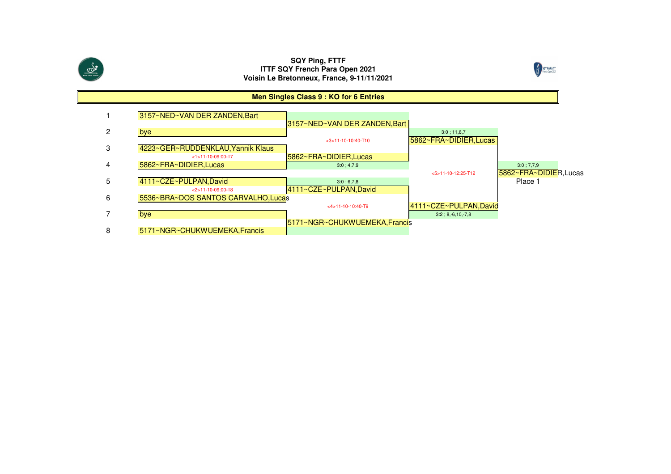



#### **Men Singles Class 9 : KO for 6 Entries**

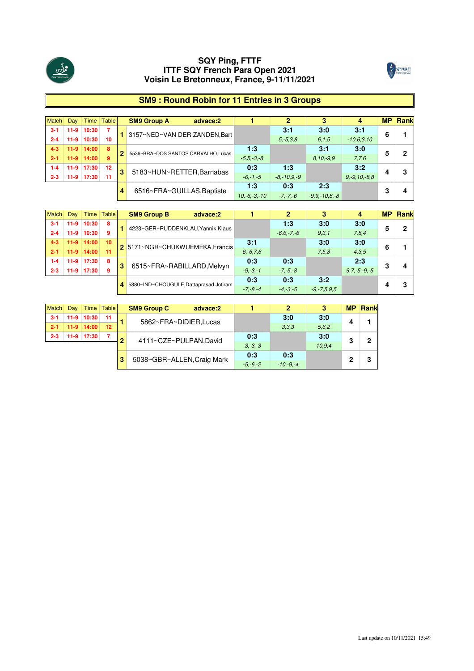



## **SM9 : Round Robin for 11 Entries in 3 Groups**

| <b>Match</b> | Day    |                  | Time Table     |   | <b>SM9 Group A</b><br>advace:2     |                |                 |                   |                    | <b>MP</b> | Rank |
|--------------|--------|------------------|----------------|---|------------------------------------|----------------|-----------------|-------------------|--------------------|-----------|------|
| $3 - 1$      | $11-9$ | 10:30            | $\overline{7}$ |   | 3157~NED~VAN DER ZANDEN.Bart       |                | 3:1             | 3:0               | 3:1                | 6         |      |
| $2 - 4$      | $11-9$ | 10:30            | 10             |   |                                    |                | $5. -5.3.8$     | 6.1.5             | $-10.6.3.10$       |           |      |
| $4 - 3$      |        | $11-9$   $14:00$ | -8             | 2 | 5536~BRA~DOS SANTOS CARVALHO.Lucas | 1:3            |                 | 3:1               | 3:0                |           | 2    |
| $2 - 1$      | $11-9$ | 14:00            | 9              |   |                                    | $-5.5 - 3 - 8$ |                 | $8,10,-9,9$       | 7,7,6              |           |      |
| $1 - 4$      |        | 11-9 17:30       | 12             | 3 | 5183~HUN~RETTER, Barnabas          | 0:3            | 1:3             |                   | 3:2                |           | 3    |
| $2 - 3$      | $11-9$ | 17:30            | 11             |   |                                    | $-6, -1, -5$   | $-8 - 10.9 - 9$ |                   | $9, -9, 10, -8, 8$ |           |      |
|              |        |                  |                |   |                                    | 1:3            | 0:3             | 2:3               |                    |           |      |
|              |        |                  |                | 4 | 6516~FRA~GUILLAS, Baptiste         | $10,-6,-3,-10$ | $-7, -7, -6$    | $-9.9 - 10.8 - 8$ |                    | 3         | 4    |

| Match   | Dav    |                  | Time Table |   | <b>SM9 Group B</b><br>advace:2           |               |                |                   |                   | <b>MP</b> | <b>Rank</b> |
|---------|--------|------------------|------------|---|------------------------------------------|---------------|----------------|-------------------|-------------------|-----------|-------------|
| $3 - 1$ |        | 11-9 10:30       | 8          |   |                                          |               | 1.3            | 3:0               | 3:0               |           |             |
| $2 - 4$ | $11-9$ | 10:30            | 9          |   | 4223~GER~RUDDENKLAU.Yannik Klaus         |               | $-6.6 - 7 - 6$ | 9,3,1             | 7,8,4             |           |             |
| $4 - 3$ |        | $11-9$   $14:00$ | 10         |   |                                          | 3:1           |                | 3:0               | 3:0               |           |             |
| $2 - 1$ |        | $11-9$ 14:00     | -11        |   | 2 5171~NGR~CHUKWUEMEKA, Francis          | $6, -6, 7, 6$ |                | 7.5.8             | 4,3,5             | 6         |             |
| $1 - 4$ |        | 11-9 17:30       | 8          |   |                                          | 0:3           | 0:3            |                   | 2:3               |           |             |
| $2 - 3$ | $11-9$ | 17:30            | 9          | 3 | 6515~FRA~RABILLARD, Melvyn               | $-9, -3, -1$  | $-7, -5, -8$   |                   | $9.7 - 5 - 9 - 5$ | 3         |             |
|         |        |                  |            |   |                                          | 0:3           | 0:3            | 3:2               |                   |           |             |
|         |        |                  |            |   | 4 5880~IND~CHOUGULE, Dattaprasad Jotiram | $-7, -8, -4$  | $-4. -3. -5$   | $-9, -7, 5, 9, 5$ |                   |           |             |

|         | Dav    |            | Time Table | <b>SM9 Group C</b><br>advace:2 |              |               |        | МP |   |
|---------|--------|------------|------------|--------------------------------|--------------|---------------|--------|----|---|
|         | $11-9$ | 10:30      | 11         |                                |              | 3:0           | 3:0    |    |   |
| $2 - 1$ | $11-9$ | 14:00      | 12         | 5862~FRA~DIDIER, Lucas         |              | 3.3.3         | 5.6.2  |    |   |
| $2 - 3$ |        | 11-9 17:30 |            |                                | 0:3          |               | 3:0    | o  | n |
|         |        |            |            | 4111~CZE~PULPAN,David          | $-3. -3. -3$ |               | 10.9.4 |    |   |
|         |        |            |            |                                | 0:3          | 0:3           |        | c  | ≏ |
|         |        |            |            | 5038~GBR~ALLEN, Craig Mark     | $-5 - 6 - 2$ | $-10 - 9 - 4$ |        |    |   |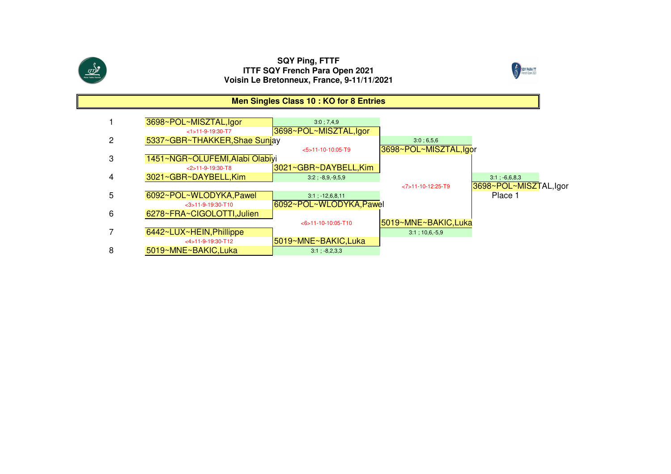



#### **Men Singles Class 10 : KO for 8 Entries**1**3698~POL~MISZTAL,Igor** 3:0; 7,4,9 <1>11-9-19:30-T7 3698~POL~MISZTAL,Igor25337~GBR~THAKKER, Shae Sunjay 3:0;6,5,6 <5>11-10-10:05-T9 3698~POL~MISZTAL,Igor3 1451~NGR~OLUFEMI,Alabi Olabiyi <2>11-9-19:30-T8 $\frac{3021 \times \text{GBR} \times \text{DAYBELL, Kim}}{3.2 \div 8.9.9.5.9}$ 4 3021~GBR~DAYBELL,Kim $\begin{array}{|c|c|c|c|c|}\n \hline\n \text{3:1} & 3:2 & 8.9 & 9.5 & 9 \\
 \hline\n \end{array}$  3:2 ; -8,9,-9,5,9 <7>11-10-12:25-T93698~POL~MISZTAL,Igor<br>Place 1 56092~POL~WLODYKA, Pawel 3:1 ; -12,6,8,11 <3>11-9-19:30-T10 6092~POL~WLODYKA,Pawel 6 6278~FRA~CIGOLOTTI,Julien <6>11-10-10:05-T105019~MNE~BAKIC,Luka 76442~LUX~HEIN, Phillippe <4>11-9-19:30-T12 $\frac{5019~MNE~BAKIC, Luka}{3:1:-8.2.3.3}$ 85019~MNE~BAKIC,Luka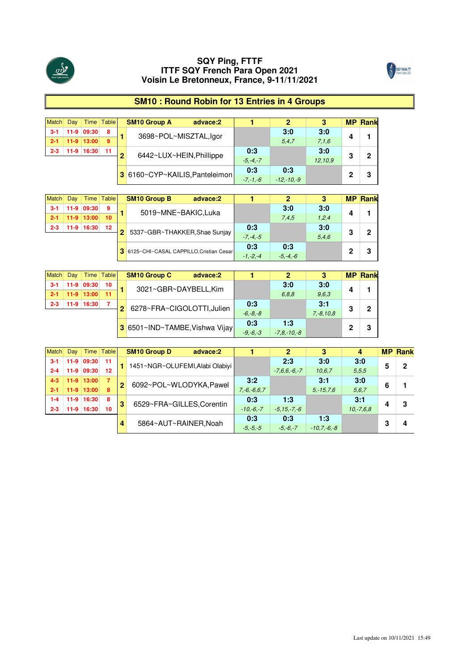



## **SM10 : Round Robin for 13 Entries in 4 Groups**

|         | Dav |              | Time Table |   | <b>SM10 Group A</b><br>advace:2 |              |                |         |   | <b>MP Rank</b> |
|---------|-----|--------------|------------|---|---------------------------------|--------------|----------------|---------|---|----------------|
| $3-1$   |     | 11-9 09:30   | 8          |   | 3698~POL~MISZTAL,lgor           |              | 3:0            | 3:0     |   |                |
|         |     | $11-9$ 13:00 | 9          |   |                                 |              | 5.4.7          | 7.1.6   |   |                |
| $2 - 3$ |     | 11-9 16:30   | $-11$      | ≏ | 6442~LUX~HEIN, Phillippe        | 0:3          |                | 3:0     | 3 | 2              |
|         |     |              |            |   |                                 | $-5 - 4 - 7$ |                | 12.10.9 |   |                |
|         |     |              |            |   | 3 6160~CYP~KAILIS, Panteleimon  | 0:3          | 0:3            |         | o |                |
|         |     |              |            |   |                                 | $-7 - 1 - 6$ | $-12 - 10 - 9$ |         |   | 3              |

|         | Day    |                | Time Table |   | <b>SM10 Group B</b><br>advace:2           |              |       |       |   | <b>MP Rank</b> |
|---------|--------|----------------|------------|---|-------------------------------------------|--------------|-------|-------|---|----------------|
|         | $11-9$ | 09:30          |            |   | 5019~MNE~BAKIC,Luka                       |              | 3:0   | 3:0   |   |                |
|         |        | $11-9$   13:00 | 10         |   |                                           |              | 7.4.5 | 1.2.4 |   |                |
| $2 - 3$ |        | 11-9 16:30     | $12 \,$    | 2 |                                           | 0:3          |       | 3:0   | 3 | ο              |
|         |        |                |            |   | 5337~GBR~THAKKER, Shae Sunjay             | $-7, -4, -5$ |       | 5,4,6 |   |                |
|         |        |                |            |   |                                           | 0:3          | 0:3   |       |   |                |
|         |        |                |            |   | 3 6125~CHI~CASAL CAPPILLO, Cristian Cesar | $-1 - 2 - 4$ |       |       |   |                |

|         | Dav |              | Time Table |                | <b>SM10 Group C</b><br>advace:2 |              | ŋ             |             |    | <b>MP Rank</b> |
|---------|-----|--------------|------------|----------------|---------------------------------|--------------|---------------|-------------|----|----------------|
|         |     | 11-9 09:30   | 10         |                | 3021~GBR~DAYBELL.Kim            |              | 3:0           | 3:0         |    |                |
|         |     | $11-9$ 13:00 |            |                |                                 |              | 6.8.8         | 9.6.3       |    |                |
| $2 - 3$ |     | 11-9 16:30   |            | 2 <sup>1</sup> |                                 | 0:3          |               | 3:1         | -2 | כי             |
|         |     |              |            |                | 6278~FRA~CIGOLOTTI,Julien       | $-6, -8, -8$ |               | $7.-8.10.8$ |    |                |
|         |     |              |            |                |                                 | 0:3          | 1:3           |             |    |                |
|         |     |              |            |                | 3 6501~IND~TAMBE, Vishwa Vijay  | $-9, -6, -3$ | $-7,8,-10,-8$ |             |    | 3              |

| Match   | Day    |              | Time Table |                | <b>SM10 Group D</b>             | advace:2 |               |                  | 3               |             |   | <b>MP Rank</b> |
|---------|--------|--------------|------------|----------------|---------------------------------|----------|---------------|------------------|-----------------|-------------|---|----------------|
| $3-1$   |        | 11-9 09:30   | - 11       |                | 1451~NGR~OLUFEMI, Alabi Olabiyi |          |               | 2:3              | 3:0             | 3:0         |   | 0              |
| $2 - 4$ | $11-9$ | 09:30        | 12         |                |                                 |          |               | $-7.6.6 - 6 - 7$ | 10.6.7          | 5.5.5       |   |                |
| $4 - 3$ |        | $11-9$ 13:00 | - 77       | $\overline{2}$ |                                 |          | 3:2           |                  | 3:1             | 3:0         | 6 |                |
| $2 - 1$ |        | $11-9$ 13:00 | 8          |                | 6092~POL~WLODYKA, Pawel         |          | $7.-6.-6.6.7$ |                  | $5. -15.7.6$    | 5.6.7       |   |                |
| $1 - 4$ | $11-9$ | 16:30        | 8          | з              |                                 |          | 0:3           | 1:3              |                 | 3:1         |   | 3              |
| $2 - 3$ | $11-9$ | 16:30        | 10         |                | 6529~FRA~GILLES, Corentin       |          | $-10,-6,-7$   | $-5.15 - 7 - 6$  |                 | $10,-7.6.8$ |   |                |
|         |        |              |            |                |                                 |          | 0:3           | 0:3              | 1:3             |             | n |                |
|         |        |              |            |                | 5864~AUT~RAINER.Noah            |          | $-5, -5, -5$  | $-5. -6. -7$     | $-10.7 - 6 - 8$ |             |   |                |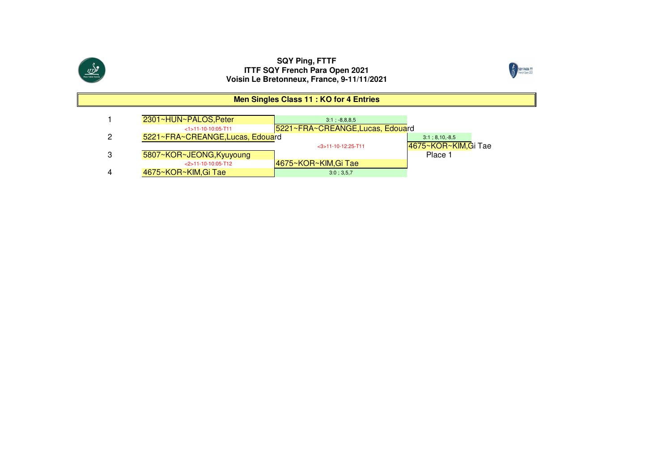



#### **Men Singles Class 11 : KO for 4 Entries**

| 2301~HUN~PALOS, Peter            | $3:1: -8.8.8.5$                  |                      |
|----------------------------------|----------------------------------|----------------------|
| $<1$ >11-10-10:05-T11            | 5221~FRA~CREANGE, Lucas, Edouard |                      |
| 5221~FRA~CREANGE, Lucas, Edouard |                                  | $3:1:8,10,-8,5$      |
|                                  | $<$ 3>11-10-12:25-T11            | 4675~KOR~KIM, Gi Tae |
| 5807~KOR~JEONG, Kyuyoung         |                                  | Place 1              |
| $<$ 2>11-10-10:05-T12            | 14675~KOR~KIM.Gi Tae             |                      |
| 4675~KOR~KIM, Gi Tae             | 3:0:3.5.7                        |                      |